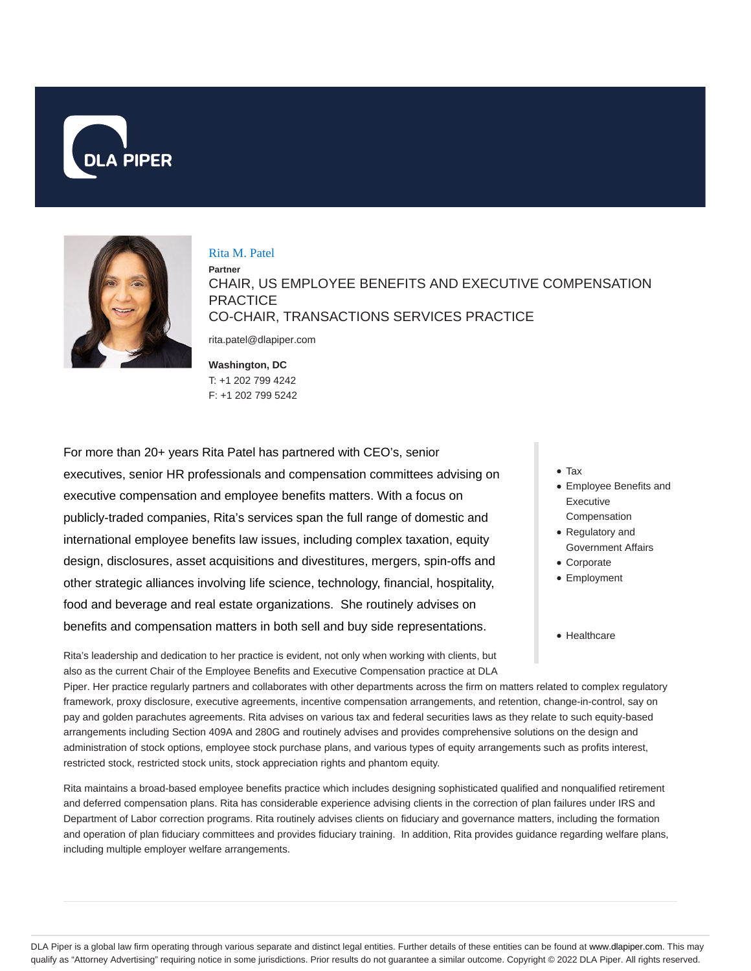



#### Rita M. Patel

**Partner** CHAIR, US EMPLOYEE BENEFITS AND EXECUTIVE COMPENSATION **PRACTICE** CO-CHAIR, TRANSACTIONS SERVICES PRACTICE

rita.patel@dlapiper.com

**Washington, DC** T: +1 202 799 4242 F: +1 202 799 5242

For more than 20+ years Rita Patel has partnered with CEO's, senior executives, senior HR professionals and compensation committees advising on executive compensation and employee benefits matters. With a focus on publicly-traded companies, Rita's services span the full range of domestic and international employee benefits law issues, including complex taxation, equity design, disclosures, asset acquisitions and divestitures, mergers, spin-offs and other strategic alliances involving life science, technology, financial, hospitality, food and beverage and real estate organizations. She routinely advises on benefits and compensation matters in both sell and buy side representations.

Tax

- Employee Benefits and Executive Compensation
- Regulatory and Government Affairs
- Corporate
- Employment
- Healthcare

Rita's leadership and dedication to her practice is evident, not only when working with clients, but also as the current Chair of the Employee Benefits and Executive Compensation practice at DLA

Piper. Her practice regularly partners and collaborates with other departments across the firm on matters related to complex regulatory framework, proxy disclosure, executive agreements, incentive compensation arrangements, and retention, change-in-control, say on pay and golden parachutes agreements. Rita advises on various tax and federal securities laws as they relate to such equity-based arrangements including Section 409A and 280G and routinely advises and provides comprehensive solutions on the design and administration of stock options, employee stock purchase plans, and various types of equity arrangements such as profits interest, restricted stock, restricted stock units, stock appreciation rights and phantom equity.

Rita maintains a broad-based employee benefits practice which includes designing sophisticated qualified and nonqualified retirement and deferred compensation plans. Rita has considerable experience advising clients in the correction of plan failures under IRS and Department of Labor correction programs. Rita routinely advises clients on fiduciary and governance matters, including the formation and operation of plan fiduciary committees and provides fiduciary training. In addition, Rita provides guidance regarding welfare plans, including multiple employer welfare arrangements.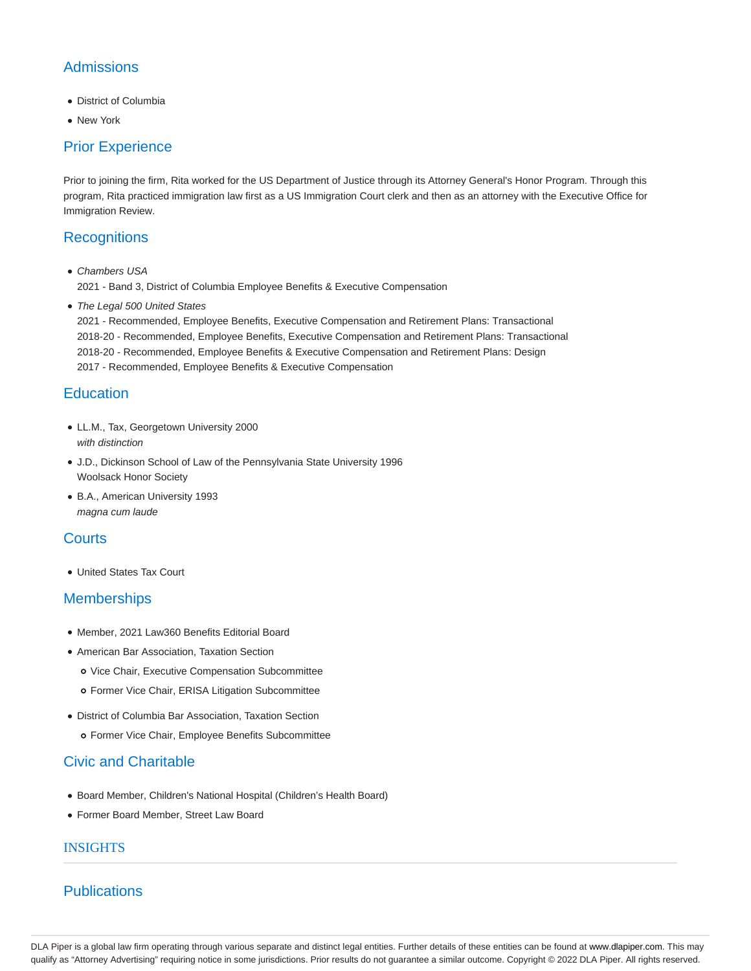# **Admissions**

- District of Columbia
- New York

## Prior Experience

Prior to joining the firm, Rita worked for the US Department of Justice through its Attorney General's Honor Program. Through this program, Rita practiced immigration law first as a US Immigration Court clerk and then as an attorney with the Executive Office for Immigration Review.

### **Recognitions**

Chambers USA 2021 - Band 3, District of Columbia Employee Benefits & Executive Compensation

• The Legal 500 United States

2021 - Recommended, Employee Benefits, Executive Compensation and Retirement Plans: Transactional 2018-20 - Recommended, Employee Benefits, Executive Compensation and Retirement Plans: Transactional 2018-20 - Recommended, Employee Benefits & Executive Compensation and Retirement Plans: Design 2017 - Recommended, Employee Benefits & Executive Compensation

### **Education**

- LL.M., Tax, Georgetown University 2000 with distinction
- J.D., Dickinson School of Law of the Pennsylvania State University 1996 Woolsack Honor Society
- B.A., American University 1993 magna cum laude

### **Courts**

United States Tax Court

### **Memberships**

- Member, 2021 Law360 Benefits Editorial Board
- American Bar Association, Taxation Section
	- o Vice Chair, Executive Compensation Subcommittee
	- Former Vice Chair, ERISA Litigation Subcommittee
- District of Columbia Bar Association, Taxation Section
	- Former Vice Chair, Employee Benefits Subcommittee

# Civic and Charitable

- Board Member, Children's National Hospital (Children's Health Board)
- Former Board Member, Street Law Board

### INSIGHTS

# **Publications**

DLA Piper is a global law firm operating through various separate and distinct legal entities. Further details of these entities can be found at www.dlapiper.com. This may qualify as "Attorney Advertising" requiring notice in some jurisdictions. Prior results do not guarantee a similar outcome. Copyright © 2022 DLA Piper. All rights reserved.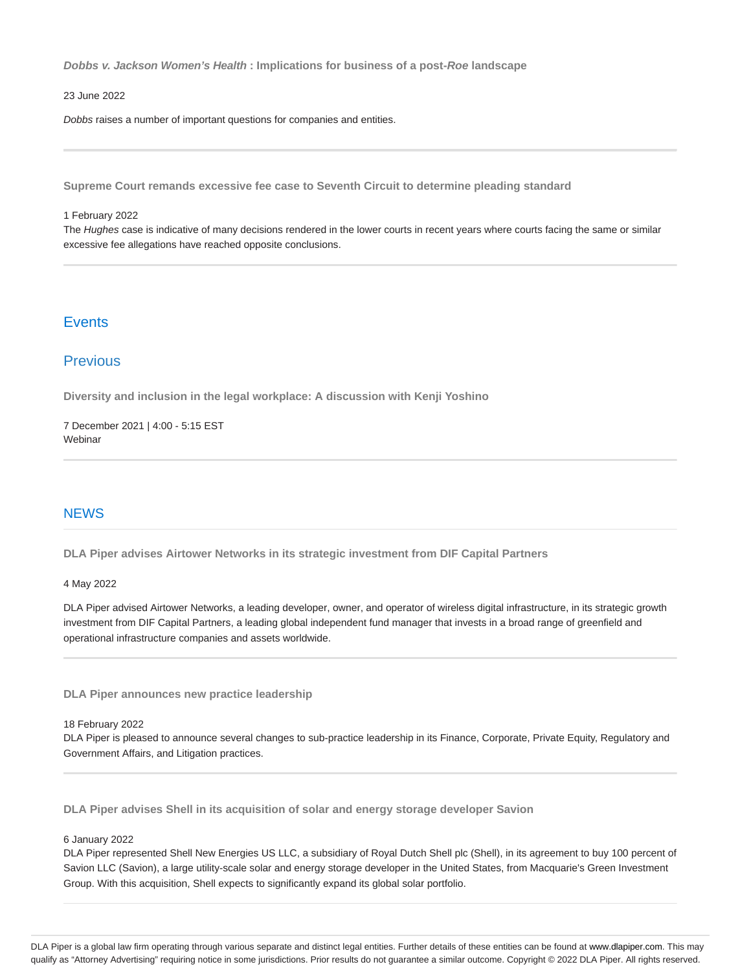**Dobbs v. Jackson Women's Health : Implications for business of a post-Roe landscape**

### 23 June 2022

Dobbs raises a number of important questions for companies and entities.

**Supreme Court remands excessive fee case to Seventh Circuit to determine pleading standard**

#### 1 February 2022

The Hughes case is indicative of many decisions rendered in the lower courts in recent years where courts facing the same or similar excessive fee allegations have reached opposite conclusions.

### **Events**

### Previous

**Diversity and inclusion in the legal workplace: A discussion with Kenji Yoshino**

7 December 2021 | 4:00 - 5:15 EST Webinar

### **NEWS**

**DLA Piper advises Airtower Networks in its strategic investment from DIF Capital Partners**

#### 4 May 2022

DLA Piper advised Airtower Networks, a leading developer, owner, and operator of wireless digital infrastructure, in its strategic growth investment from DIF Capital Partners, a leading global independent fund manager that invests in a broad range of greenfield and operational infrastructure companies and assets worldwide.

**DLA Piper announces new practice leadership**

18 February 2022

DLA Piper is pleased to announce several changes to sub-practice leadership in its Finance, Corporate, Private Equity, Regulatory and Government Affairs, and Litigation practices.

**DLA Piper advises Shell in its acquisition of solar and energy storage developer Savion**

#### 6 January 2022

DLA Piper represented Shell New Energies US LLC, a subsidiary of Royal Dutch Shell plc (Shell), in its agreement to buy 100 percent of Savion LLC (Savion), a large utility-scale solar and energy storage developer in the United States, from Macquarie's Green Investment Group. With this acquisition, Shell expects to significantly expand its global solar portfolio.

DLA Piper is a global law firm operating through various separate and distinct legal entities. Further details of these entities can be found at www.dlapiper.com. This may qualify as "Attorney Advertising" requiring notice in some jurisdictions. Prior results do not guarantee a similar outcome. Copyright @ 2022 DLA Piper. All rights reserved.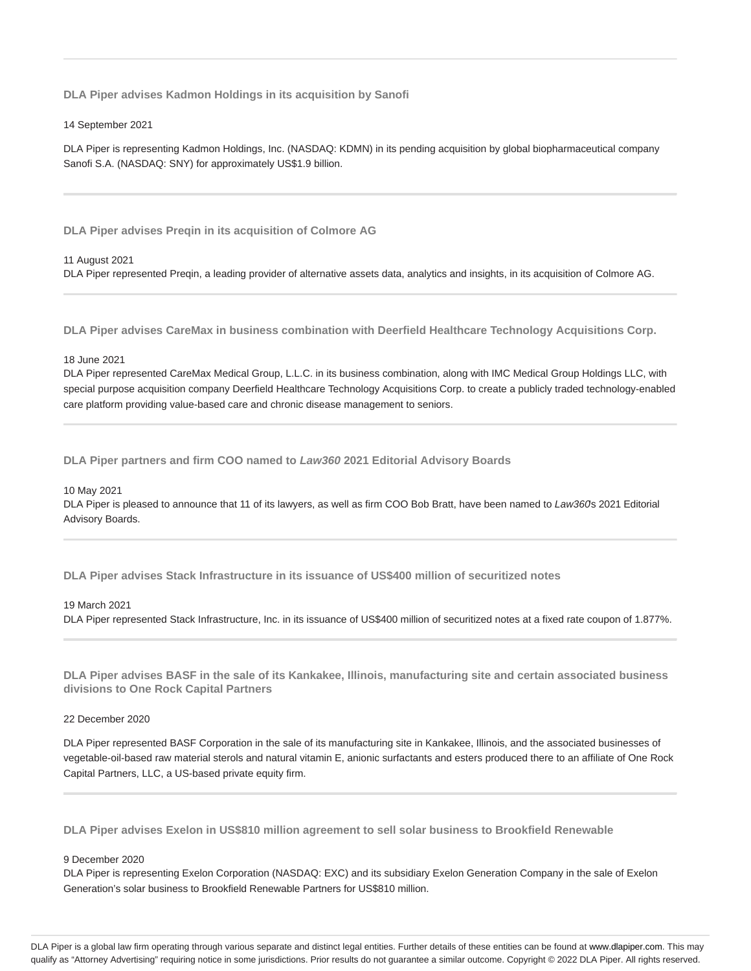**DLA Piper advises Kadmon Holdings in its acquisition by Sanofi**

14 September 2021

DLA Piper is representing Kadmon Holdings, Inc. (NASDAQ: KDMN) in its pending acquisition by global biopharmaceutical company Sanofi S.A. (NASDAQ: SNY) for approximately US\$1.9 billion.

**DLA Piper advises Preqin in its acquisition of Colmore AG**

11 August 2021

DLA Piper represented Preqin, a leading provider of alternative assets data, analytics and insights, in its acquisition of Colmore AG.

**DLA Piper advises CareMax in business combination with Deerfield Healthcare Technology Acquisitions Corp.**

18 June 2021

DLA Piper represented CareMax Medical Group, L.L.C. in its business combination, along with IMC Medical Group Holdings LLC, with special purpose acquisition company Deerfield Healthcare Technology Acquisitions Corp. to create a publicly traded technology-enabled care platform providing value-based care and chronic disease management to seniors.

**DLA Piper partners and firm COO named to Law360 2021 Editorial Advisory Boards**

10 May 2021

DLA Piper is pleased to announce that 11 of its lawyers, as well as firm COO Bob Bratt, have been named to Law360s 2021 Editorial Advisory Boards.

**DLA Piper advises Stack Infrastructure in its issuance of US\$400 million of securitized notes**

#### 19 March 2021

DLA Piper represented Stack Infrastructure, Inc. in its issuance of US\$400 million of securitized notes at a fixed rate coupon of 1.877%.

**DLA Piper advises BASF in the sale of its Kankakee, Illinois, manufacturing site and certain associated business divisions to One Rock Capital Partners**

22 December 2020

DLA Piper represented BASF Corporation in the sale of its manufacturing site in Kankakee, Illinois, and the associated businesses of vegetable-oil-based raw material sterols and natural vitamin E, anionic surfactants and esters produced there to an affiliate of One Rock Capital Partners, LLC, a US-based private equity firm.

**DLA Piper advises Exelon in US\$810 million agreement to sell solar business to Brookfield Renewable**

#### 9 December 2020

DLA Piper is representing Exelon Corporation (NASDAQ: EXC) and its subsidiary Exelon Generation Company in the sale of Exelon Generation's solar business to Brookfield Renewable Partners for US\$810 million.

DLA Piper is a global law firm operating through various separate and distinct legal entities. Further details of these entities can be found at www.dlapiper.com. This may qualify as "Attorney Advertising" requiring notice in some jurisdictions. Prior results do not guarantee a similar outcome. Copyright @ 2022 DLA Piper. All rights reserved.